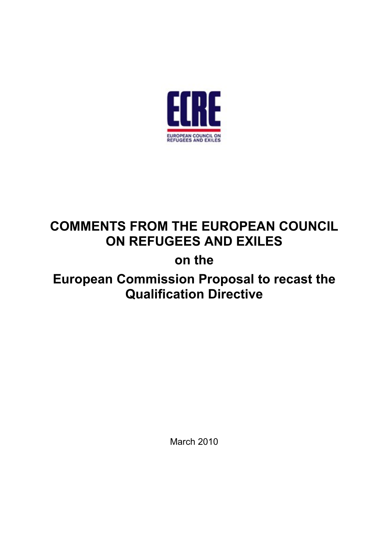

# **COMMENTS FROM THE EUROPEAN COUNCIL ON REFUGEES AND EXILES**

## **on the**

## **European Commission Proposal to recast the Qualification Directive**

March 2010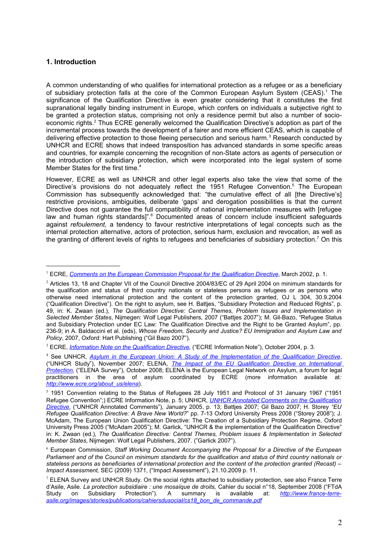## **1. Introduction**

A common understanding of who qualifies for international protection as a refugee or as a beneficiary of subsidiary protection falls at the core of the Common European Asylum System (CEAS).<sup>[1](#page-1-0)</sup> The significance of the Qualification Directive is even greater considering that it constitutes the first supranational legally binding instrument in Europe, which confers on individuals a subjective right to be granted a protection status, comprising not only a residence permit but also a number of socio-economic rights.<sup>[2](#page-1-1)</sup> Thus ECRE generally welcomed the Qualification Directive's adoption as part of the incremental process towards the development of a fairer and more efficient CEAS, which is capable of delivering effective protection to those fleeing persecution and serious harm.<sup>[3](#page-1-2)</sup> Research conducted by UNHCR and ECRE shows that indeed transposition has advanced standards in some specific areas and countries, for example concerning the recognition of non-State actors as agents of persecution or the introduction of subsidiary protection, which were incorporated into the legal system of some Member States for the first time.<sup>[4](#page-1-3)</sup>

However, ECRE as well as UNHCR and other legal experts also take the view that some of the Directive's provisions do not adequately reflect the 19[5](#page-1-4)1 Refugee Convention.<sup>5</sup> The European Commission has subsequently acknowledged that: "the cumulative effect of all [the Directive's] restrictive provisions, ambiguities, deliberate 'gaps' and derogation possibilities is that the current Directive does not guarantee the full compatibility of national implementation measures with [refugee law and human rights standards]".<sup>[6](#page-1-5)</sup> Documented areas of concern include insufficient safeguards against *refoulement,* a tendency to favour restrictive interpretations of legal concepts such as the internal protection alternative, actors of protection, serious harm, exclusion and revocation, as well as the granting of different levels of rights to refugees and beneficiaries of subsidiary protection.<sup>[7](#page-1-6)</sup> On this

<span id="page-1-0"></span><sup>&</sup>lt;sup>1</sup> ECRE, *[Comments on the European Commission Proposal for the Qualification Directive](http://www.ecre.org/files/statuscomms.pdf)*, March 2002, p. 1.

<span id="page-1-1"></span><sup>&</sup>lt;sup>2</sup> Articles 13, 18 and Chapter VII of the Council Directive 2004/83/EC of 29 April 2004 on minimum standards for the qualification and status of third country nationals or stateless persons as refugees or as persons who otherwise need international protection and the content of the protection granted, OJ L 304, 30.9.2004 ("Qualification Directive"). On the right to asylum, see H. Battjes, "Subsidiary Protection and Reduced Rights", p. 49, in: K. Zwaan (ed.), *The Qualification Directive: Central Themes, Problem Issues and Implementation in Selected Member States*, Nijmegen: Wolf Legal Publishers, 2007 ("Battjes 2007"); M. Gil-Bazo, "Refugee Status and Subsidiary Protection under EC Law: The Qualification Directive and the Right to be Granted Asylum", pp. 236-9; in A. Baldaccini et al. (eds), *Whose Freedom, Security and Justice? EU Immigration and Asylum Law and Policy*, 2007, Oxford: Hart Publishing ("Gil Bazo 2007").

<span id="page-1-2"></span><sup>3</sup> ECRE, *[Information Note on the Qualification Directive,](http://www.ecre.org/files/qualpro.pdf)* ("ECRE Information Note"), October 2004, p. 3.

<span id="page-1-3"></span><sup>4</sup> See UNHCR, *[Asylum in the European Union: A Study of the Implementation of the Qualification Directive](http://www.unhcr.org/protect/PROTECTION/47302b6c2.pdf)*, ("UNHCR Study"), November 2007; ELENA, *[The Impact of the EU Qualification Directive on International](http://www.ecre.org/files/ECRE_QD_study_full.pdf) [Protection,](http://www.ecre.org/files/ECRE_QD_study_full.pdf)* ("ELENA Survey"), October 2008; ELENA is the European Legal Network on Asylum, a forum for legal practitioners in the area of asylum coordinated by ECRE (more information available at*: [http://www.ecre.org/about\\_us/elena](http://www.ecre.org/about_us/elena)*).

<span id="page-1-4"></span> $5$  1951 Convention relating to the Status of Refugees 28 July 1951 and Protocol of 31 January 1967 ("1951 Refugee Convention";) ECRE Information Note, p. 5; UNHCR, *[UNHCR Annotated Comments on the Qualification](http://www.unhcr.org/cgi-bin/texis/vtx/refworld/rwmain?docid=4200d8354&page=search) [Directive](http://www.unhcr.org/cgi-bin/texis/vtx/refworld/rwmain?docid=4200d8354&page=search)*, ("UNHCR Annotated Comments"), January 2005, p. 13; Battjes 2007; Gil Bazo 2007; H. Storey *"EU Refugee Qualification Directive: A Brave New World?*" pp. 7-13 Oxford University Press 2008 ("Storey 2008"); J. McAdam, The European Union Qualification Directive: The Creation of a Subsidiary Protection Regime, Oxford University Press 2005 ("McAdam 2005"); M. Garlick, "UNHCR & the implementation of the Qualification Directive" in: K. Zwaan (ed.), *The Qualification Directive: Central Themes, Problem issues & Implementation in Selected Member States*, Nijmegen: Wolf Legal Publishers, 2007. ("Garlick 2007").

<span id="page-1-5"></span><sup>6</sup> European Commission, *Staff Working Document Accompanying the Proposal for a Directive of the European Parliament and of the Council on minimum standards for the qualification and status of third country nationals or stateless persons as beneficiaries of international protection and the content of the protection granted (Recast) – Impact Assessment,* SEC (2009) 1371, ("Impact Assessment"), 21.10.2009 p. 11.

<span id="page-1-6"></span> $^7$  ELENA Survey and UNHCR Study. On the social rights attached to subsidiary protection, see also France Terre d'Asile, Asile. *La protection subsidiaire : une mosaïque de droits,* Cahier du social n°18, September 2008 ("FTdA Study on Subsidiary Protection"). A summary is available at: *[http://www.france-terre](http://www.france-terre-asile.org/images/stories/publications/cahiersdusocial/cs18_bon_de_commande.pdf)[asile.org/images/stories/publications/cahiersdusocial/cs18\\_bon\\_de\\_commande.pdf](http://www.france-terre-asile.org/images/stories/publications/cahiersdusocial/cs18_bon_de_commande.pdf)*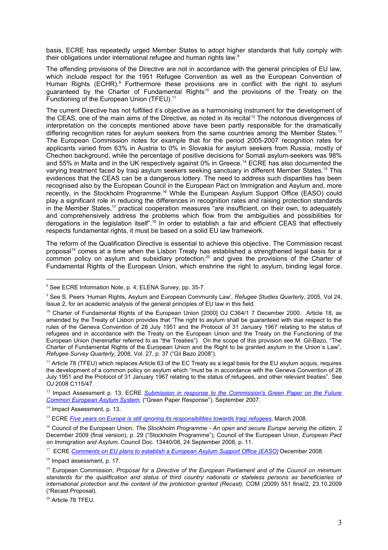basis, ECRE has repeatedly urged Member States to adopt higher standards that fully comply with their obligations under international refugee and human rights law.<sup>[8](#page-2-0)</sup>

The offending provisions of the Directive are not in accordance with the general principles of EU law, which include respect for the 1951 Refugee Convention as well as the European Convention of Human Rights (ECHR).<sup>[9](#page-2-1)</sup> Furthermore these provisions are in conflict with the right to asylum guaranteed by the Charter of Fundamental Rights[10](#page-2-2) and the provisions of the Treaty on the Functioning of the European Union (TFEU).<sup>[11](#page-2-3)</sup>

The current Directive has not fulfilled it's objective as a harmonising instrument for the development of the CEAS, one of the main aims of the Directive, as noted in its recital<sup>[12](#page-2-0)</sup> The notorious divergences of interpretation on the concepts mentioned above have been partly responsible for the dramatically differing recognition rates for asylum seekers from the same countries among the Member States.<sup>[13](#page-2-4)</sup> The European Commission notes for example that for the period 2005-2007 recognition rates for applicants varied from 63% in Austria to 0% in Slovakia for asylum seekers from Russia, mostly of Chechen background, while the percentage of positive decisions for Somali asylum-seekers was 98% and 55% in Malta and in the UK respectively against 0% in Greece.<sup>[14](#page-2-5)</sup> ECRE has also documented the varying treatment faced by Iraqi asylum seekers seeking sanctuary in different Member States.[15](#page-2-6) This evidences that the CEAS can be a dangerous lottery. The need to address such disparities has been recognised also by the European Council in the European Pact on Immigration and Asylum and, more recently, in the Stockholm Programme.<sup>[16](#page-2-7)</sup> While the European Asylum Support Office (EASO) could play a significant role in reducing the differences in recognition rates and raising protection standards in the Member States,<sup>[17](#page-2-8)</sup> practical cooperation measures "are insufficient, on their own, to adequately and comprehensively address the problems which flow from the ambiguities and possibilities for derogations in the legislation itself".[18](#page-2-9) In order to establish a fair and efficient CEAS that effectively respects fundamental rights, it must be based on a solid EU law framework.

The reform of the Qualification Directive is essential to achieve this objective. The Commission recast proposal<sup>[19](#page-2-10)</sup> comes at a time when the Lisbon Treaty has established a strengthened legal basis for a common policy on asylum and subsidiary protection,<sup>[20](#page-2-11)</sup> and gives the provisions of the Charter of Fundamental Rights of the European Union, which enshrine the right to asylum, binding legal force.

<span id="page-2-5"></span><sup>14</sup> Impact Assessment, p. 13.

<span id="page-2-9"></span><sup>18</sup> Impact assessment, p. 17.

<span id="page-2-1"></span><span id="page-2-0"></span><sup>&</sup>lt;sup>8</sup> See ECRE Information Note, p. 4; ELENA Survey, pp. 35-7.

<span id="page-2-2"></span><sup>9</sup> See S. Peers 'Human Rights, Asylum and European Community Law', *Refugee Studies Quarterly*, 2005, Vol 24, Issue 2, for an academic analysis of the general principles of EU law in this field.

<sup>&</sup>lt;sup>10</sup> Charter of Fundamental Rights of the European Union [2000] OJ C364/1 7 December 2000. Article 18, as amended by the Treaty of Lisbon provides that "The right to asylum shall be guaranteed with due respect to the rules of the Geneva Convention of 28 July 1951 and the Protocol of 31 January 1967 relating to the status of refugees and in accordance with the Treaty on the European Union and the Treaty on the Functioning of the European Union (hereinafter referred to as "the Treaties"). On the scope of this provision see M. Gil-Bazo, "The Charter of Fundamental Rights of the European Union and the Right to be granted asylum in the Union´s Law", *Refugee Survey Quarterly*, 2008, Vol. 27, p. 37 ("Gil Bazo 2008").

<span id="page-2-3"></span> $11$  Article 78 (TFEU) which replaces Article 63 of the EC Treaty as a legal basis for the EU asylum acquis, requires the development of a common policy on asylum which "must be in accordance with the Geneva Convention of 28 July 1951 and the Protocol of 31 January 1967 relating to the status of refugees, and other relevant treaties". See *OJ* 2008 C115/47.

<span id="page-2-4"></span><sup>&</sup>lt;sup>13</sup> Impact Assessment p. 13; ECRE *[Submission in response to the Commission's Green Paper on the Future](http://www.ecre.org/files/ECRE%20Green%20paper%20response%20final%20-%20Read%20only.pdf) [Common European Asylum System,](http://www.ecre.org/files/ECRE%20Green%20paper%20response%20final%20-%20Read%20only.pdf)* ("Green Paper Response"), September 2007.

<span id="page-2-6"></span><sup>&</sup>lt;sup>15</sup> ECRE *Five years on Europe is still ignoring its responsibilities towards Iragi refugees, March 2008.* 

<span id="page-2-7"></span><sup>&</sup>lt;sup>16</sup> Council of the European Union, *The Stockholm Programme - An open and secure Europe serving the citizen, 2* December 2009 (final version), p. 29 ("Stockholm Programme"); Council of the European Union, *European Pact on Immigration and Asylum,* Council Doc. 13440/08, 24 September 2008, p. 11.

<span id="page-2-8"></span><sup>&</sup>lt;sup>17</sup> ECRE *[Comments on EU plans to establish a European Asylum Support Office \(EASO\)](http://www.ecre.org/files/ECRE_comment_EU_plans_EASO.pdf)* December 2008.

<span id="page-2-10"></span><sup>19</sup> European Commission, *Proposal for a Directive of the European Parliament and of the Council on minimum standards for the qualification and status of third country nationals or stateless persons as beneficiaries of international protection and the content of the protection granted (Recast),* COM (2009) 551 final/2, 23.10.2009 ("Recast Proposal).

<span id="page-2-11"></span><sup>20</sup> Article 78 TFEU.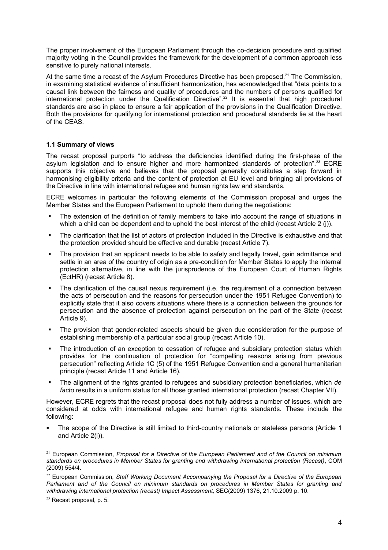The proper involvement of the European Parliament through the co-decision procedure and qualified majority voting in the Council provides the framework for the development of a common approach less sensitive to purely national interests.

At the same time a recast of the Asylum Procedures Directive has been proposed.<sup>21</sup> The Commission, in examining statistical evidence of insufficient harmonization, has acknowledged t[ha](#page-3-0)t "data points to a causal link between the fairness and quality of procedures and the numbers of persons qualified for international protection under the Qualification Directive".<sup>22</sup> It is essential that high procedural standards are also in place to ensure a fair application of th[e p](#page-3-1)rovisions in the Qualification Directive. Both the provisions for qualifying for international protection and procedural standards lie at the heart of the CEAS.

#### **1.1 Summary of views**

The recast proposal purports "to address the deficiencies identified during the first-phase of the asylum legislation and to ensure higher and more harmonized standards of protection".**<sup>23</sup>** ECRE supports this objective and believes that the proposal generally constitutes a step f[orw](#page-3-2)ard in harmonising eligibility criteria and the content of protection at EU level and bringing all provisions of the Directive in line with international refugee and human rights law and standards.

ECRE welcomes in particular the following elements of the Commission proposal and urges the Member States and the European Parliament to uphold them during the negotiations:

- The extension of the definition of family members to take into account the range of situations in which a child can be dependent and to uphold the best interest of the child (recast Article 2 (j)).
- The clarification that the list of actors of protection included in the Directive is exhaustive and that the protection provided should be effective and durable (recast Article 7).
- The provision that an applicant needs to be able to safely and legally travel, gain admittance and settle in an area of the country of origin as a pre-condition for Member States to apply the internal protection alternative, in line with the jurisprudence of the European Court of Human Rights (EctHR) (recast Article 8).
- The clarification of the causal nexus requirement (i.e. the requirement of a connection between the acts of persecution and the reasons for persecution under the 1951 Refugee Convention) to explicitly state that it also covers situations where there is a connection between the grounds for persecution and the absence of protection against persecution on the part of the State (recast Article 9).
- The provision that gender-related aspects should be given due consideration for the purpose of establishing membership of a particular social group (recast Article 10).
- The introduction of an exception to cessation of refugee and subsidiary protection status which provides for the continuation of protection for "compelling reasons arising from previous persecution" reflecting Article 1C (5) of the 1951 Refugee Convention and a general humanitarian principle (recast Article 11 and Article 16).
- The alignment of the rights granted to refugees and subsidiary protection beneficiaries, which *de facto* results in a uniform status for all those granted international protection (recast Chapter VII).

However, ECRE regrets that the recast proposal does not fully address a number of issues, which are considered at odds with international refugee and human rights standards. These include the following:

 The scope of the Directive is still limited to third-country nationals or stateless persons (Article 1 and Article 2(i)).

<span id="page-3-0"></span><sup>21</sup> European Commission, *Proposal for a Directive of the European Parliament and of the Council on minimum standards on procedures in Member States for granting and withdrawing international protection (Recast)*, COM (2009) 554/4.

<span id="page-3-1"></span><sup>22</sup> European Commission, *Staff Working Document Accompanying the Proposal for a Directive of the European Parliament and of the Council on minimum standards on procedures in Member States for granting and withdrawing international protection (recast) Impact Assessment,* SEC(2009) 1376, 21.10.2009 p. 10.

<span id="page-3-2"></span> $23$  Recast proposal, p. 5.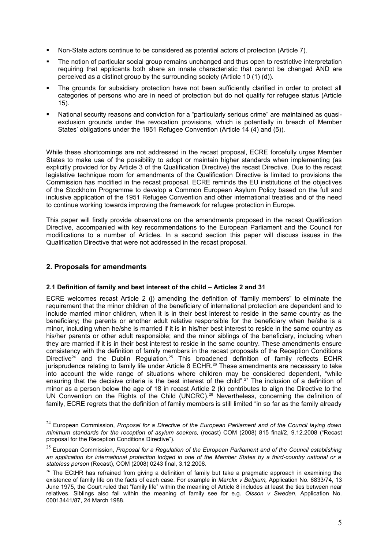- Non-State actors continue to be considered as potential actors of protection (Article 7).
- The notion of particular social group remains unchanged and thus open to restrictive interpretation requiring that applicants both share an innate characteristic that cannot be changed AND are perceived as a distinct group by the surrounding society (Article 10 (1) (d)).
- The grounds for subsidiary protection have not been sufficiently clarified in order to protect all categories of persons who are in need of protection but do not qualify for refugee status (Article 15).
- National security reasons and conviction for a "particularly serious crime" are maintained as quasiexclusion grounds under the revocation provisions, which is potentially in breach of Member States' obligations under the 1951 Refugee Convention (Article 14 (4) and (5)).

While these shortcomings are not addressed in the recast proposal, ECRE forcefully urges Member States to make use of the possibility to adopt or maintain higher standards when implementing (as explicitly provided for by Article 3 of the Qualification Directive) the recast Directive. Due to the recast legislative technique room for amendments of the Qualification Directive is limited to provisions the Commission has modified in the recast proposal. ECRE reminds the EU institutions of the objectives of the Stockholm Programme to develop a Common European Asylum Policy based on the full and inclusive application of the 1951 Refugee Convention and other international treaties and of the need to continue working towards improving the framework for refugee protection in Europe.

This paper will firstly provide observations on the amendments proposed in the recast Qualification Directive, accompanied with key recommendations to the European Parliament and the Council for modifications to a number of Articles. In a second section this paper will discuss issues in the Qualification Directive that were not addressed in the recast proposal.

### **2. Proposals for amendments**

#### **2.1 Definition of family and best interest of the child – Articles 2 and 31**

ECRE welcomes recast Article 2 (j) amending the definition of "family members" to eliminate the requirement that the minor children of the beneficiary of international protection are dependent and to include married minor children, when it is in their best interest to reside in the same country as the beneficiary; the parents or another adult relative responsible for the beneficiary when he/she is a minor, including when he/she is married if it is in his/her best interest to reside in the same country as his/her parents or other adult responsible; and the minor siblings of the beneficiary, including when they are married if it is in their best interest to reside in the same country. These amendments ensure consistency with the definition of family members in the recast proposals of the Reception Conditions Directive<sup>24</sup> and the Dublin Regulation.<sup>25</sup> This broadened definition of family reflects ECHR jurisprudence relating to family life under Article 8 ECHR.<sup>26</sup> These amendments are necessary to take into acc[ou](#page-4-0)nt the wide range of situatio[ns](#page-4-1) where children may be considered dependent, "while ensuring [th](#page-4-2)at the decisive criteria is the best interest of the child".<sup>27</sup> The inclusion of a definition of minor as a person below the age of 18 in recast Article 2 (k) contributes to align the Directive to the UN Convention on the Rights of the Child (UNCRC).<sup>28</sup> Neverthe[les](#page-5-0)s, concerning the definition of family, ECRE regrets that the definition of family members is still limited "in so far as the family already

<span id="page-4-0"></span><sup>24</sup> European Commission, *Proposal for a Directive of the European Parliament and of the Council laying down minimum standards for the reception of asylum seekers,* (recast) COM (2008) 815 final/2, 9.12.2008 ("Recast proposal for the Reception Conditions Directive").

<span id="page-4-1"></span><sup>25</sup> European Commission, *Proposal for a Regulation of the European Parliament and of the Council establishing an application for international protection lodged in one of the Member States by a third-country national or a stateless person* (Recast), COM (2008) 0243 final, 3.12.2008.

<span id="page-4-2"></span><sup>&</sup>lt;sup>26</sup> The ECtHR has refrained from giving a definition of family but take a pragmatic approach in examining the existence of family life on the facts of each case. For example in *Marckx v Belgium,* Application No. 6833/74, 13 June 1975, the Court ruled that "family life" within the meaning of Article 8 includes at least the ties between near relatives. Siblings also fall within the meaning of family see for e.g. *Olsson v Sweden*, Application No. 00013441/87, 24 March 1988.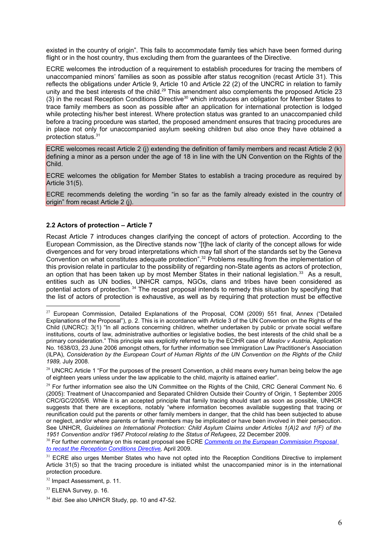existed in the country of origin". This fails to accommod[ate](#page-5-1) family ties which have been formed during flight or in the host country, thus excluding them from the guarantees of the Directive.

ECRE welcomes the introduction of a requirement to establish procedures for tracing the members of unaccompanied minors' families as soon as possible after status recognition (recast Article 31). This reflects the obligations under Article 9, Article 10 and Article 22 (2) of the UNCRC in relation to family unity and the best interests of the child.<sup>29</sup> This amendment also complements the proposed Article 23 (3) in the recast Reception Conditions Directive<sup>30</sup> which introduces an obligation for Member States to trace family members as soon as pos[sib](#page-5-2)le after an application for international protection is lodged while protecting his/her best interest. Where pr[ote](#page-5-3)ction status was granted to an unaccompanied child before a tracing procedure was started, the proposed amendment ensures that tracing procedures are in place not only for unaccompanied asylum seeking children but also once they have obtained a protection status.<sup>31</sup>

ECRE welcome[s re](#page-5-4)cast Article 2 (j) extending the definition of family members and recast Article 2 (k) defining a minor as a person under the age of 18 in line with the UN Convention on the Rights of the Child.

ECRE welcomes the obligation for Member States to establish a tracing procedure as required by Article 31(5).

ECRE recommends deleting the wording "in so far as the family already existed in the country of origin" from recast Article 2 (j).

## **2.2 Actors of protection – Article 7**

Recast Article 7 introduces changes clarifying the concept of actors of protection. According to the European Commission, as the Directive stands now "[t]he lack of clarity of the concept allows for wide divergences and for very broad interpretations which may fall short of the standards set by the Geneva Convention on what constitutes adequate protection".<sup>32</sup> Problems resulting from the implementation of this provision relate in particular to the possibility of regarding non-State agents as actors of protection, an option that has been taken up by most Member [Sta](#page-5-5)tes in their national legislation.<sup>33</sup> As a result, entities such as UN bodies, UNHCR camps, NGOs, clans and tribes have been considered as potential actors of protection. <sup>34</sup> The recast proposal intends to remedy this situation by [sp](#page-5-6)ecifying that the list of actors of protection is exhaustive, as well as by requiring that protection must be effective

<span id="page-5-0"></span> $27$  European Commission, Detailed Explanations of the Proposal, COM (2009) 551 final, Annex ("Detailed Explanations of the Proposal"), p. 2. This is in accordance with Article 3 of the UN Convention on the Rights of the Child (UNCRC): 3(1) "In all actions concerning children, whether undertaken by public or private social welfare institutions, courts of law, administrative authorities or legislative bodies, the best interests of the child shall be a primary consideration." This principle was explicitly referred to by the ECtHR case of *Maslov v Austria*, Application No. 1638/03, 23 June 2006 amongst others, for further information see Immigration Law Practitioner's Association (ILPA), *Consideration by the European Court of Human Rights of the UN Convention on the Rights of the Child 1989,* July 2008.

<sup>&</sup>lt;sup>28</sup> UNCRC Article 1 "For the purposes of the present Convention, a child means every human being below the age of eighteen years unless under the law applicable to the child, majority is attained earlier".

<span id="page-5-2"></span><span id="page-5-1"></span><sup>&</sup>lt;sup>29</sup> For further information see also the UN Committee on the Rights of the Child, CRC General Comment No. 6 (2005): Treatment of Unaccompanied and Separated Children Outside their Country of Origin, 1 September 2005 CRC/GC/2005/6. While it is an accepted principle that family tracing should start as soon as possible, UNHCR suggests that there are exceptions, notably "where information becomes available suggesting that tracing or reunification could put the parents or other family members in danger, that the child has been subjected to abuse or neglect, and/or where parents or family members may be implicated or have been involved in their persecution. See UNHCR, *Guidelines on International Protection: Child Asylum Claims under Articles 1(A)2 and 1(F) of the 1951 Convention and/or 1967 Protocol relating to the Status of Refugees*, 22 December 2009.

<sup>30</sup> For further commentary on this recast proposal see ECRE *Comments on the European Commission Proposal to recast the Reception Conditions Directive,* April 2009.

<span id="page-5-4"></span><span id="page-5-3"></span><sup>&</sup>lt;sup>31</sup> [ECRE also urges Member States who ha](http://www.ecre.org/files/ECRE_Comments_on_Reception_Conditions_Directive_recast_2009.pdf)ve not opted into the Reception Conditions Directive to implement Article 31(5) so that the tracing procedure is initiated whilst the unaccompanied minor is in the international protection procedure.

<sup>32</sup> Impact Assessment, p. 11.

<span id="page-5-5"></span><sup>&</sup>lt;sup>33</sup> ELENA Survey, p. 16.

<span id="page-5-6"></span><sup>34</sup> *Ibid*. See also UNHCR Study, pp. 10 and 47-52.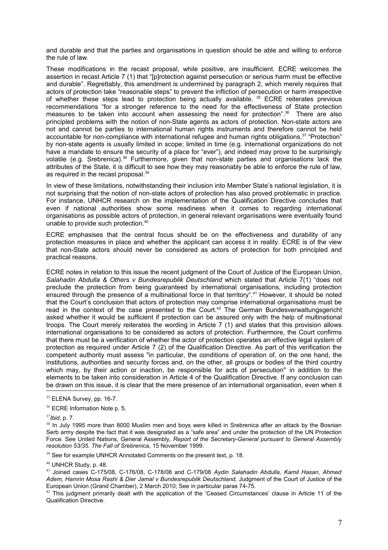and durable and that the par[tie](#page-6-0)s and organisations in question should be able and willing to enforce the rule of law.

These modifications in the recast proposal, while positive, are insufficient. ECRE welcomes the assertion in recast Article 7 (1) that "plrotection against persecution or serious harm must be effective and durable". Regrettably, this amendment is undermined by paragraph 2, which merely requires that actors of protection take "reasonable steps" to prevent the infliction of persecution or harm irrespective of whether these steps lead to protection being actually available. <sup>35</sup> ECRE reiterates previous recommendations "for a stronger reference to the need for the effectiveness of State protection measures to be taken into account when assessing the need for [pro](#page-6-1)tection".<sup>36</sup> There are also principled problems with the notion of non-State agents as actors of protection. Non-state actors are not and cannot be parties to international human rights instruments and theref[or](#page-6-2)e cannot be held accountable for non-compliance with international refugee and human rights obligations.<sup>37</sup> "Protection" by non-state agents is usually limited in scope; limited in time (e.g. international organizations do not have a mandate to ensure the security of a place for "ever"), and indeed may prove to [be](#page-6-3) surprisingly volatile (e.g. Srebrenica).<sup>38</sup> Furthermore, given that non-state parties and organisations lack the attributes of the State, it is difficult to see how they may reasonably be able to enforce the rule of law, as required in the recast p[ro](#page-6-4)posal.<sup>39</sup>

In view of these limitations, notwit[hs](#page-6-5)tanding their inclusion into Member State's national legislation, it is not surprising that the notion of non-state actors of protection has also proved problematic in practice. For instance, UNHCR research on the implementation of the Qualification Directive concludes that even if national authorities show some readiness when it comes to regarding international organisations as possible actors of protection, in general relevant organisations were eventually found unable to provide such protection.<sup>40</sup>

ECRE emphasises that the ce[ntr](#page-6-6)al focus should be on the effectiveness and durability of any protection measures in place and whether the applicant can access it in reality. ECRE is of the view that non-State actors should never be considered as actors of protection for both principled and practical reasons.

ECRE notes in relation to this issue the recent judgment of the Court of Justice of the European Union, *Salahadin Abdulla & Others v Bundesrepublik Deutschland* which stated that Article 7(1) "does not preclude the protection from being guaranteed by international organisations, including protection ensured through the presence of a multinational force in that territory".<sup>41</sup> However, it should be noted that the Court's conclusion that actors of protection may comprise international organisations must be read in the context of the case presented to the Court.<sup>42</sup> The Ger[ma](#page-6-7)n Bundesverwaltungsgericht asked whether it would be sufficient if protection can be assured only with the help of multinational troops. The Court merely reiterates the wording in Article [7](#page-6-8) (1) and states that this provision allows international organisations to be considered as actors of protection. Furthermore, the Court confirms that there must be a verification of whether the actor of protection operates an effective legal system of protection as required under Article 7 (2) of the Qualification Directive. As part of this verification the competent authority must assess "in particular, the conditions of operation of, on the one hand, the institutions, authorities and security forces and, on the other, all groups or bodies of the third country which may, by their action or inaction, be responsible for acts of persecution" in addition to the elements to be taken into consideration in Article 4 of the Qualification Directive. If any conclusion can be drawn on this issue, it is clear that the mere presence of an international organisation, even when it

<span id="page-6-8"></span> $42$  This iudgment primarily dealt with the application of the 'Ceased Circumstances' clause in Article 11 of the Qualification Directive.

<span id="page-6-1"></span><span id="page-6-0"></span><sup>&</sup>lt;sup>35</sup> ELENA Survey, pp. 16-7.

<span id="page-6-2"></span><sup>&</sup>lt;sup>36</sup> ECRE Information Note p. 5.

<span id="page-6-3"></span><sup>37</sup>*Ibid*, p. 7.

<span id="page-6-4"></span> $38$  In July 1995 more than 8000 Muslim men and boys were killed in Srebrenica after an attack by the Bosnian Serb army despite the fact that it was designated as a "safe area" and under the protection of the UN Protection Force. See United Nations, General Assembly, *Report of the Secretary-General pursuant to General Assembly resolution 53/35. The Fall of Srebrenica*, 15 November 1999.

<span id="page-6-5"></span> $39$  See for example UNHCR Annotated Comments on the present text, p. 18.

<span id="page-6-6"></span><sup>40</sup> UNHCR Study, p. 48.

<span id="page-6-7"></span><sup>41</sup> Joined cases C-175/08, C-176/08, C-178/08 and C-179/08 *Aydin Salahadin Abdulla, Kamil Hasan, Ahmed Adem, Hamrin Mosa Rashi & Dier Jamal v Bundesrepublik Deutschland,* Judgment of the Court of Justice of the European Union (Grand Chamber), 2 March 2010; See in particular paras 74-75.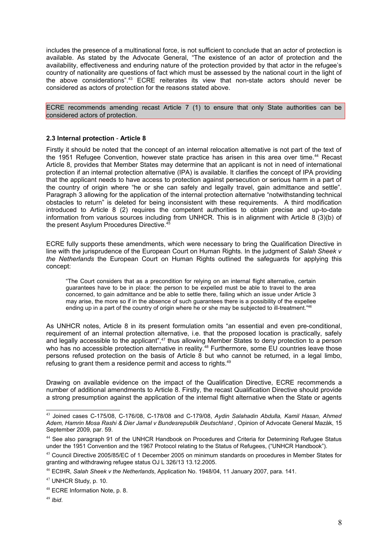includes the presence of a multinational force, is not sufficient to conclude that an actor of protection is available. As stated by the Advocate General, "The existence of an actor of protection and the availability, effectiveness and enduring nature of the protection provided by that actor in the refugee's country of nationality are questions of fact which must be assessed by the national court in the light of the above considerations".<sup>43</sup> ECRE reiterates its view that non-state actors should never be considered as actors of protection for the reasons stated above.

ECRE recommends amen[din](#page-7-0)g recast Article 7 (1) to ensure that only State authorities can be considered actors of protection.

#### **2.3 Internal protection** - **Article 8**

Firstly it should be noted that the concept of an internal relocation alternative is not part of the text of the 1951 Refugee Convention, however state practice has arisen in this area over time.<sup>44</sup> Recast Article 8, provides that Member States may determine that an applicant is not in need of international protection if an internal protection alternative (IPA) is available. It clarifies the concept of IPA providing that the applicant needs to have access to protection against persecution or serious harm in a part of the country of origin where "he or she can safely and legally travel, gain admittance a[nd](#page-7-1) settle". Paragraph 3 allowing for the application of the internal protection alternative "notwithstanding technical obstacles to return" is deleted for being inconsistent with these requirements. A third modification introduced to Article 8 (2) requires the competent authorities to obtain precise and up-to-date information from various sources including from UNHCR. This is in alignment with Article 8 (3)(b) of the present Asylum Procedures Directive.<sup>45</sup>

ECRE fully supports these amendments, which were necessary to bring the Qualification Directive in line with the jurisprudence of the Europe[an](#page-7-2) Court on Human Rights. In the judgment of *Salah Sheek v the Netherlands* the European Court on Human Rights outlined the safeguards for applying this concept:

"The Court considers that as a precondition for relying on an internal flight alternative, certain guarantees have to be in place: the person to be expelled must be able to travel to the area concerned, to gain admittance and be able to settle there, failing which an issue under Article 3 may arise, the more so if in the absence of such guarantees there is a possibility of the expellee ending up in a part of the country of origin where he or she may be subjected to ill-treatment."<sup>46</sup>

As UNHCR notes, Article 8 in its present formulation omits "an essential and even pre-conditional, requirement of an internal protection alternative, i.e. that the proposed location is practically, safely and legally accessible to the applicant",<sup>47</sup> thus allowing Member States to deny protection [to](#page-7-3) a person who has no accessible protection alternative in reality.<sup>48</sup> Furthermore, some EU countries leave those persons refused protection on the basis of Article 8 but who cannot be returned, in a legal limbo, refusing to grant them a residence permit and access to rights.<sup>49</sup>

Drawing on available evidence on the impact of the [Q](#page-7-4)ualification Directive, ECRE recommends a number of additional amendments to Article 8. Firstly, the rec[ast](#page-7-5) Qualification Directive should provide a strong presumption against the application of the internal flight alternative when the State or agents

<span id="page-7-0"></span><sup>43</sup> Joined cases C-175/08, C-176/08, C-178/08 and C-179/08, *Aydin Salahadin Abdulla, Kamil Hasan, Ahmed Adem, Hamrin Mosa Rashi & Dier Jamal v Bundesrepublik Deutschland* , Opinion of Advocate General Mazàk, 15 September 2009, par. 59.

<span id="page-7-1"></span><sup>44</sup> See also paragraph 91 of the UNHCR Handbook on Procedures and Criteria for Determining Refugee Status under the 1951 Convention and the 1967 Protocol relating to the Status of Refugees, ("UNHCR Handbook").

<span id="page-7-2"></span><sup>45</sup> Council Directive 2005/85/EC of 1 December 2005 on minimum standards on procedures in Member States for granting and withdrawing refugee status OJ L 326/13 13.12.2005.

<span id="page-7-3"></span><sup>46</sup> ECtHR, *Salah Sheek v the Netherlands*, Application No. 1948/04, 11 January 2007, para. 141.

<sup>47</sup> UNHCR Study, p. 10.

<span id="page-7-4"></span><sup>48</sup> ECRE Information Note, p. 8.

<span id="page-7-5"></span><sup>49</sup> *Ibid*.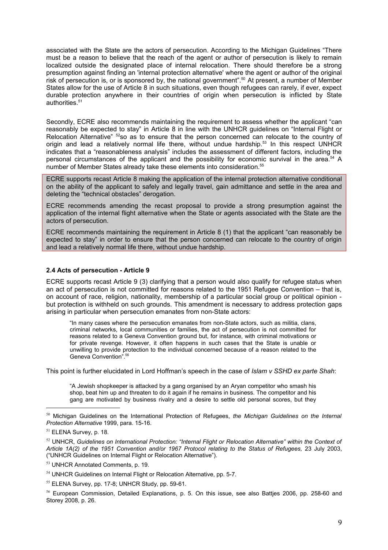associated with the State are the actors of persecution. According to the Michigan Guidelines "There must be a reason to believe that the reach of the agent or author of persecution is likely to remain localized outside the designated place of internal relocation. There should therefore be a strong presumption against finding an 'internal protection alternative' where the agent or author of the original risk of persecution is, or is sponsored by, the national government".<sup>50</sup> At present, a number of Member States allow for the use of Article 8 in such situations, even though refugees can rarely, if ever, expect durable protection anywhere in their countries of origin when persecution is inflicted by State authorities.<sup>51</sup>

Secondly, ECRE also recommends maintaining the requirement to assess whether the applicant "can reasonabl[y b](#page-8-0)e expected to stay" in Article 8 in line with the UNHCR guidelines on "Internal Flight or Relocation Alternative" <sup>52</sup>so as to ensure that the person concerned can relocate to the country of origin and lead a relatively normal life there, without undue hardship.<sup>53</sup> In this respect UNHCR indicates that a "reasonableness analysis" includes the assessment of different factors, including the personal circumstances of the applicant and the possibility for economic survival in the area.<sup>54</sup> A number of Member Stat[es](#page-8-1) already take these elements into consideration.<sup>55</sup>

ECRE supports recast Article 8 making the application of the internal prot[ect](#page-8-2)ion alternative conditional on the ability of the applicant to safely and legally travel, gain admittance and settle in the area [an](#page-8-3)d deleting the "technical obstacles" derogation.

ECRE recommends amending the recast proposal to provide a strong presumption against the application of the internal flight alternative when the State or agents associated with the State are the actors of persecution.

ECRE recommends maintaining the requirement in Article 8 (1) that the applicant "can reasonably be expected to stay" in order to ensure that the person concerned can relocate to the country of origin and lead a relatively normal life there, without undue hardship.

#### **2.4 Acts of persecution - Article 9**

ECRE supports recast Article 9 (3) clarifying that a person would also qualify for refugee status when an act of persecution is not committed for reasons related to the 1951 Refugee Convention – that is, on account of race, religion, nationality, membership of a particular social group or political opinion but protection is withheld on such grounds. This amendment is necessary to address protection gaps arising in particular when persecution emanates from non-State actors:

"In many cases where the persecution emanates from non-State actors, such as militia, clans, criminal networks, local communities or families, the act of persecution is not committed for reasons related to a Geneva Convention ground but, for instance, with criminal motivations or for private revenge. However, it often happens in such cases that the State is unable or unwilling to provide protection to the individual concerned because of a reason related to the Geneva Convention".<sup>56</sup>

This point is further elucidated in Lord Hoffman's speech in the case of *Islam v SSHD ex parte Shah*:

"A Jewish shopkeep[er i](#page-8-4)s attacked by a gang organised by an Aryan competitor who smash his shop, beat him up and threaten to do it again if he remains in business. The competitor and his gang are motivated by business rivalry and a desire to settle old personal scores, but they

<sup>50</sup> Michigan Guidelines on the International Protection of Refugees, *the Michigan Guidelines on the Internal Protection Alternative* 1999, para. 15-16.

<span id="page-8-0"></span><sup>&</sup>lt;sup>51</sup> ELENA Survey, p. 18.

<span id="page-8-1"></span><sup>52</sup> UNHCR, *Guidelines on International Protection: "Internal Flight or Relocation Alternative" within the Context of Article 1A(2) of the 1951 Convention and/or 1967 Protocol relating to the Status of Refugees,* 23 July 2003, ("UNHCR Guidelines on Internal Flight or Relocation Alternative").

<span id="page-8-2"></span><sup>53</sup> UNHCR Annotated Comments, p. 19.

<span id="page-8-3"></span><sup>&</sup>lt;sup>54</sup> UNHCR Guidelines on Internal Flight or Relocation Alternative, pp. 5-7.

<sup>55</sup> ELENA Survey, pp. 17-8; UNHCR Study, pp. 59-61.

<span id="page-8-4"></span><sup>56</sup> European Commission, Detailed Explanations, p. 5. On this issue, see also Battjes 2006, pp. 258-60 and Storey 2008, p. 26.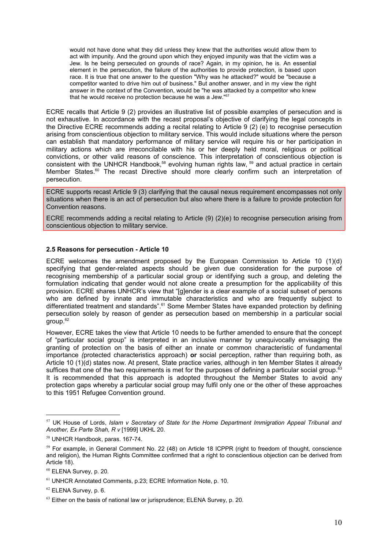would not have done what they did unless they knew that the authorities would allow them to act with impunity. And the ground upon which they enjoyed impunity was that the victim was a Jew. Is he being persecuted on grounds of race? Again, in my opinion, he is. An essential element in the persecution, the failure of the authorities to provide protection, is based upon race. It is true that one answer to the question "Why was he attacked?" would be "because a competitor wanted to drive him out of business." But another answer, and in my view the right answer in the context of the Convention, would be "he was attacked by a competitor who knew that he would receive no protection because he was a Jew."57

ECRE recalls that Article 9 (2) provides an illustrative list of possible examples of persecution and is not exhaustive. In accordance with the recast proposal's objective of clarifying the legal concepts in the Directive ECRE recommends adding a recital relating to [Ar](#page-9-0)ticle 9 (2) (e) to recognise persecution arising from conscientious objection to military service. This would include situations where the person can establish that mandatory performance of military service will require his or her participation in military actions which are irreconcilable with his or her deeply held moral, religious or political convictions, or other valid reasons of conscience. This interpretation of conscientious objection is consistent with the UNHCR Handbook,<sup>58</sup> evolving human rights law, <sup>59</sup> and actual practice in certain Member States.<sup>60</sup> The recast Directive should more clearly confirm such an interpretation of persecution.

ECRE supports recast Article 9 (3) clari[fyi](#page-9-1)ng that the causal nexus re[qui](#page-9-2)rement encompasses not only situations when [the](#page-9-3)re is an act of persecution but also where there is a failure to provide protection for Convention reasons.

ECRE recommends adding a recital relating to Article (9) (2)(e) to recognise persecution arising from conscientious objection to military service.

#### **2.5 Reasons for persecution - Article 10**

ECRE welcomes the amendment proposed by the European Commission to Article 10 (1)(d) specifying that gender-related aspects should be given due consideration for the purpose of recognising membership of a particular social group or identifying such a group, and deleting the formulation indicating that gender would not alone create a presumption for the applicability of this provision. ECRE shares UNHCR's view that "[g]ender is a clear example of a social subset of persons who are defined by innate and immutable characteristics and who are frequently subject to differentiated treatment and standards".<sup>61</sup> Some Member States have expanded protection by defining persecution solely by reason of gender as persecution based on membership in a particular social  $q$ roup. $62$ 

However, ECRE takes the view that Art[icl](#page-9-4)e 10 needs to be further amended to ensure that the concept of "particular social group" is interpreted in an inclusive manner by unequivocally envisaging the granti[ng](#page-9-5) of protection on the basis of either an innate or common characteristic of fundamental importance *(*protected characteristics approach) **or** social perception, rather than requiring both, as Article 10 (1)(d) states now. At present, State practice varies, although in ten Member States it already suffices that one of the two requirements is met for the purposes of defining a particular social group.<sup>63</sup> It is recommended that this approach is adopted throughout the Member States to avoid any protection gaps whereby a particular social group may fulfil only one or the other of these approaches to this 1951 Refugee Convention ground.

<span id="page-9-0"></span><sup>57</sup> UK House of Lords, *Islam v Secretary of State for the Home Department Immigration Appeal Tribunal and Another, Ex Parte Shah, R v* [1999] UKHL 20.

<span id="page-9-1"></span><sup>58</sup> UNHCR Handbook, paras. 167-74.

<span id="page-9-2"></span><sup>&</sup>lt;sup>59</sup> For example, in General Comment No. 22 (48) on Article 18 ICPPR (right to freedom of thought, conscience and religion), the Human Rights Committee confirmed that a right to conscientious objection can be derived from Article 18).

<span id="page-9-3"></span><sup>60</sup> ELENA Survey, p. 20.

<span id="page-9-4"></span><sup>61</sup> UNHCR Annotated Comments, p.23; ECRE Information Note, p. 10.

<span id="page-9-5"></span> $62$  ELENA Survey, p. 6.

 $63$  Either on the basis of national law or jurisprudence; ELENA Survey, p. 20.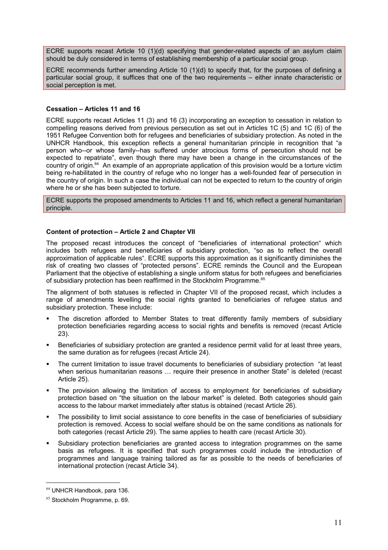ECRE supports recast Article 10 (1)(d) specifying that gender-related aspects of an asylum claim should be duly considered in terms of establishing membership of a particular social group.

ECRE recommends further amending Article 10 (1)(d) to specify that, for the purposes of defining a particular social group, it suffices that one of the two requirements – either innate characteristic or social perception is met.

#### **Cessation – Articles 11 and 16**

ECRE supports recast Articles 11 (3) and 16 (3) incorporating an exception to cessation in relation to compelling reasons derived from previous persecution as set out in Articles 1C (5) and 1C (6) of the 1951 Refugee Convention both for refugees and beneficiaries of subsidiary protection. As noted in the UNHCR Handbook, this exception reflects a general humanitarian principle in recognition that "a person who--or whose family--has suffered under atrocious forms of persecution should not be expected to repatriate", even though there may have been a change in the circumstances of the country of origin.<sup>64</sup> An example of an appropriate application of this provision would be a torture victim being re-habilitated in the country of refuge who no longer has a well-founded fear of persecution in the country of or[igi](#page-10-0)n. In such a case the individual can not be expected to return to the country of origin where he or she has been subjected to torture.

ECRE supports the proposed amendments to Articles 11 and 16, which reflect a general humanitarian principle.

#### **Content of protection – Article 2 and Chapter VII**

The proposed recast introduces the concept of "beneficiaries of international protection" which includes both refugees and beneficiaries of subsidiary protection, "so as to reflect the overall approximation of applicable rules". ECRE supports this approximation as it significantly diminishes the risk of creating two classes of "protected persons". ECRE reminds the Council and the European Parliament that the objective of establishing a single uniform status for both refugees and beneficiaries of subsidiary protection has been reaffirmed in the Stockholm Programme.<sup>65</sup>

The alignment of both statuses is reflected in Chapter VII of the proposed recast, which includes a range of amendments levelling the social rights granted to beneficia[rie](#page-10-1)s of refugee status and subsidiary protection. These include:

- The discretion afforded to Member States to treat differently family members of subsidiary protection beneficiaries regarding access to social rights and benefits is removed (recast Article 23).
- Beneficiaries of subsidiary protection are granted a residence permit valid for at least three years, the same duration as for refugees (recast Article 24).
- The current limitation to issue travel documents to beneficiaries of subsidiary protection "at least when serious humanitarian reasons ... require their presence in another State" is deleted (recast Article 25).
- The provision allowing the limitation of access to employment for beneficiaries of subsidiary protection based on "the situation on the labour market" is deleted. Both categories should gain access to the labour market immediately after status is obtained (recast Article 26).
- The possibility to limit social assistance to core benefits in the case of beneficiaries of subsidiary protection is removed. Access to social welfare should be on the same conditions as nationals for both categories (recast Article 29). The same applies to health care (recast Article 30).
- Subsidiary protection beneficiaries are granted access to integration programmes on the same basis as refugees. It is specified that such programmes could include the introduction of programmes and language training tailored as far as possible to the needs of beneficiaries of international protection (recast Article 34).

<span id="page-10-0"></span><sup>64</sup> UNHCR Handbook, para 136.

<span id="page-10-1"></span><sup>&</sup>lt;sup>65</sup> Stockholm Programme, p. 69.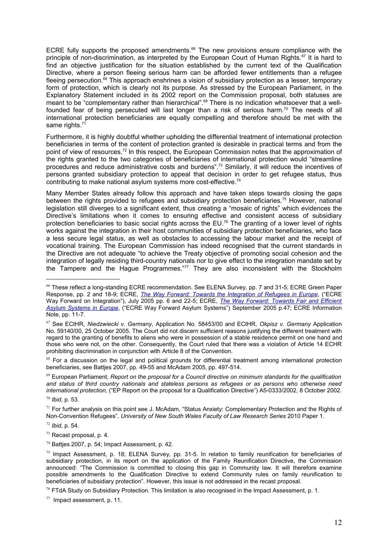ECRE fully supports the proposed amendments.<sup>66</sup> The new provisions ensure compliance with the principle of non-discrimination, as interpreted by the European Court of Human Rights.<sup>67</sup> It is hard to find an objective justification for the situation e[st](#page-11-0)ablished by the current text of the Qualification Directive, where a person fleeing serious harm can be afforded fewer entitlements t[ha](#page-11-1)n a refugee fleeing persecution.<sup>68</sup> This approach enshrines a vision of subsidiary protection as a lesser, temporary form of protection, which is clearly not its purpose. As stressed by the European Parliament, in the Explanatory State[me](#page-11-2)nt included in its 2002 report on the Commission proposal, both statuses are meant to be "complementary rather than hierarchical".69 There is no indication whatsoever that a wellfounded fear of being persecuted will last longer than a risk of serious harm.<sup>70</sup> The needs of all international protection beneficiaries are equally co[mp](#page-11-3)elling and therefore should be met with the same rights.<sup>71</sup>

Furthermore, it is highly doubtful whether upholding the differential treatment of international protection beneficiarie[s in](#page-11-4) terms of the content of protection granted is desirable in practical terms and from the point of view of resources.<sup>72</sup> In this respect, the European Commission notes that the approximation of the rights granted to the two categories of beneficiaries of international protection would "streamline procedures and reduce a[dm](#page-11-5)inistrative costs and burdens".<sup>73</sup> Similarly, it will reduce the incentives of persons granted subsidiary protection to appeal that decision in order to get refugee status, thus contributing to make national asylum systems more cost-eff[ec](#page-11-6)tive.<sup>74</sup>

Many Member States already follow this approach and have taken steps towards closing the gaps between the rights provided to refugees and subsidiary protecti[on](#page-11-7) beneficiaries.<sup>75</sup> However, national legislation still diverges to a significant extent, thus creating a "mosaic of rights" which evidences the Directive's limitations when it comes to ensuring effective and consistent [acc](#page-11-8)ess of subsidiary protection beneficiaries to basic social rights across the EU.<sup>76</sup> The granting of a lower level of rights works against the integration in their host communities of subsidiary protection beneficiaries, who face a less secure legal status, as well as obstacles to accessi[ng](#page-11-9) the labour market and the receipt of vocational training. The European Commission has indeed recognised that the current standards in the Directive are not adequate "to achieve the Treaty objective of promoting social cohesion and the integration of legally residing third-country nationals nor to give effect to the integration mandate set by the Tampere and the Hague Programmes."<sup>77</sup> They are also inconsistent with the Stockholm

<span id="page-11-3"></span><span id="page-11-2"></span><sup>69</sup> European Parliament, *Report on the proposal for a Council directive on minimum standards for the qualification and status of third country nationals and stateless persons as refugees or as persons who otherwise need international protection,* ("EP Report on the proposal for a Qualification Directive") A5-0333/2002, 8 October 2002.

<span id="page-11-0"></span><sup>&</sup>lt;sup>66</sup> These reflect a long-standing ECRE recommendation. See ELENA Survey, pp. 7 and 31-5; ECRE Green Paper Response, pp. 2 and 18-9; ECRE, *The Way Forward: Towards the Integration of Refugees in Europe*, ("ECRE Way Forward on Integration"), July 2005 pp. 6 and 22-5; ECRE, *[The Way Forward: Towards Fair and](http://www.ecre.org/files/Integ.pdf) Efficient Asylum Systems in Europe*, ("ECRE Way Forward Asylum Syste[ms"\) September 2005 p.47; ECRE Information](http://www.ecre.org/files/ECRE%20WF%20Systems%20Sept05.pdf) [Note, pp. 11-7.](http://www.ecre.org/files/ECRE%20WF%20Systems%20Sept05.pdf) 

<span id="page-11-1"></span><sup>67</sup> See ECtHR, *Niedzwiecki v. Germany*, Application No. 58453/00 and ECtHR, *Okpisz v. Germany* Application No. 59140/00, 25 October 2005. The Court did not discern sufficient reasons justifying the different treatment with regard to the granting of benefits to aliens who were in possession of a stable residence permit on one hand and those who were not, on the other. Consequently, the Court ruled that there was a violation of Article 14 ECHR prohibiting discrimination in conjunction with Article 8 of the Convention.

 $68$  For a discussion on the legal and political grounds for differential treatment among international protection beneficiaries, see Battjes 2007, pp. 49-55 and McAdam 2005, pp. 497-514.

<sup>70</sup> *Ibid*, p. 53.

 $71$  For further analysis on this point see J. McAdam, "Status Anxiety: Complementary Protection and the Rights of Non-Convention Refugees", *University of New South Wales Faculty of Law Research Series* 2010 Paper 1.

<span id="page-11-4"></span><sup>72</sup> *Ibid*, p. 54.

<span id="page-11-5"></span> $73$  Recast proposal, p. 4.

<span id="page-11-6"></span> $74$  Batties 2007, p. 54; Impact Assessment, p. 42.

<span id="page-11-8"></span><span id="page-11-7"></span> $75$  Impact Assessment, p. 18; ELENA Survey, pp. 31-5. In relation to family reunification for beneficiaries of subsidiary protection, in its report on the application of the Family Reunification Directive, the Commission announced: "The Commission is committed to closing this gap in Community law. It will therefore examine possible amendments to the Qualification Directive to extend Community rules on family reunification to beneficiaries of subsidiary protection". However, this issue is not addressed in the recast proposal.

 $76$  FTdA Study on Subsidiary Protection. This limitation is also recognised in the Impact Assessment, p. 1.

<span id="page-11-9"></span> $77$  Impact assessment, p. 11.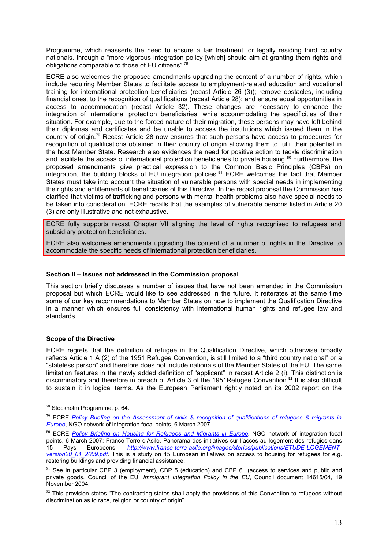Programme, which reasserts the need to en[sur](#page-12-0)e a fair treatment for legally residing third country nationals, through a "more vigorous integration policy [which] should aim at granting them rights and obligations comparable to those of EU citizens".<sup>78</sup>

ECRE also welcomes the proposed amendme[nts](#page-12-1) upgrading the content of a number of rights, which include requiring Member States to facilitate access to employment-related education and vocational training for international protection beneficiaries (recast Article 26 (3)); remove obstacles, including financial ones, to the recognition of qualifications (recast Article 28); and ensure equal opportunities in access to accommodation (recast Article 32). These changes are necessary to enhance the integration of international protection beneficiaries, while accommodating the specificities of their situation. For example, due to the forced nature of their migration, these persons may have left behind their diplomas and certificates and be unable to access the institutions which issued them in the country of origin.<sup>79</sup> Recast Article 28 now ensures that such persons have access to procedures for recognition of q[ual](#page-12-2)ifications obtained in their country of origin allowing them to fulfil their potential in the host Member State. Research also evidences the need for positive action to tackle discrimination and facilitate the access of international protection beneficiaries to private housing.<sup>80</sup> Furthermore, the proposed amendments give practical expression to the Common Basic Pri[nci](#page-12-3)ples (CBPs) on integration, the building blocks of EU integration policies.<sup>81</sup> ECRE welcomes the fact that Member States must take into account the situation of vulnerable p[er](#page-12-4)sons with special needs in implementing the rights and entitlements of beneficiaries of this Directive. In the recast proposal the Commission has clarified that victims of trafficking and persons with mental health problems also have special needs to be taken into consideration. ECRE recalls that the examples of vulnerable persons listed in Article 20 (3) are only illustrative and not exhaustive.

ECRE fully supports recast Chapter VII aligning the level of rights recognised to refugees and subsidiary protection beneficiaries.

ECRE also welcomes amendments upgrading the content of a number of rights in the Directive to accommodate the specific needs of international protection beneficiaries.

#### **Section II – Issues not addressed in the Commission proposal**

This section briefly discusses a number of issues that have not been amended in the Commission proposal but which ECRE would like to see addressed in the future. It reiterates at the same time some of our key recommendations to Member States on how to implement the Qualification Directive in a manner which ensures full consistency with international human rights and refugee law and standards.

#### **Scope of the Directive**

ECRE regrets that the definition of refugee in the Qualification Directive, which otherwise broadly reflects Article 1 A (2) of the 1951 Refugee Convention, is still limited to a "third country national" or a "stateless person" and therefore does not include nationals of the Member States of the EU. The same limitation features in the newly added definition of "applicant" in recast Article 2 (i). This distinction is discriminatory and therefore in breach of Article 3 of the 1951Refugee Convention.**<sup>82</sup>** It is also difficult to sustain it in logical terms. As the European Parliament rightly noted on its [200](#page-13-0)2 report on the

<sup>78</sup> Stockholm Programme, p. 64.

<span id="page-12-1"></span><span id="page-12-0"></span><sup>79</sup> ECRE *Policy Briefing on the Assessment of skills & recognition of qualifications of refugees & migrants in Europe*, NGO network of integration focal points, 6 March 2007.

<span id="page-12-3"></span><span id="page-12-2"></span><sup>80</sup> ECRE [Policy Briefing on Housing for Refugees and Migrants in Europe](http://www.ecre.org/files/Policy%20Briefing_Assessment%20of%20skills%20&%20recongition%20of%20qualifications.pdf), NGO network of integration focal [points, 6](http://www.ecre.org/files/Policy%20Briefing_Assessment%20of%20skills%20&%20recongition%20of%20qualifications.pdf) March 2007; France Terre d'Asile, Panorama des initiatives sur l'acces au logement des refugies dans<br>15 Pays Europeens. *http://www.france-terre-asile.org/images/stories/publications/ETUDE-LOGEMENT-*15 Pays Europeens, *[http://www.france-terre-asile.org/images/stories](http://www.ecre.org/files/Policy%20Briefing_Housing.pdf)/publications/ETUDE-LOGEMENTversion20\_01\_2009.pdf.* This is a study on 15 European initiatives on access to housing for refugees for e.g. restoring buildings and providi[ng financial assistance.](http://www.france-terre-asile.org/images/stories/publications/ETUDE-LOGEMENT-version20_01_2009.pdf) 

<sup>&</sup>lt;sup>81</sup> [See in particular CBP](http://www.france-terre-asile.org/images/stories/publications/ETUDE-LOGEMENT-version20_01_2009.pdf) 3 (employment), CBP 5 (education) and CBP 6 (access to services and public and private goods. Council of the EU, *Immigrant Integration Policy in the EU*, Council document 14615/04, 19 November 2004.

<span id="page-12-4"></span> $82$  This provision states "The contracting states shall apply the provisions of this Convention to refugees without discrimination as to race, religion or country of origin".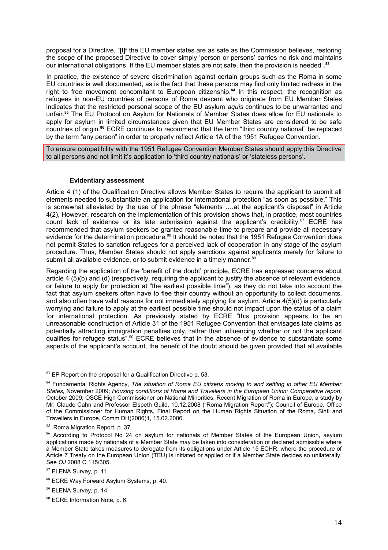proposal for a Directive, "[I]f the EU member states are as safe as the Commission believes, restoring the scope of the proposed Directive to cover simply 'person or persons' carries no risk and maintains our international obligations. If the EU member states are not safe, then the provision is needed".**[83](#page-13-1)**

In practice, the existence of severe discrimination against certain groups such as the Roma in some EU countries is well documented, as is the fact that these persons may find only limited redress in the right to free movement concomitant to European citizenship.**[84](#page-13-2)** In this respect, the recognition as refugees in non-EU countries of persons of Roma descent who originate from EU Member States indicates that the restricted personal scope of the EU asylum *aquis* continues to be unwarranted and unfair.**[85](#page-13-3)** The EU Protocol on Asylum for Nationals of Member States does allow for EU nationals to apply for asylum in limited circumstances given that EU Member States are considered to be safe countries of origin.**[86](#page-13-4)** ECRE continues to recommend that the term "third country national" be replaced by the term "any person" in order to properly reflect Article 1A of the 1951 Refugee Convention.

To ensure compatibility with the 1951 Refugee Convention Member States should apply this Directive to all persons and not limit it's application to 'third country nationals' or 'stateless persons'.

#### **Evidentiary assessment**

Article 4 (1) of the Qualification Directive allows Member States to require the applicant to submit all elements needed to substantiate an application for international protection "as soon as possible." This is somewhat alleviated by the use of the phrase "elements ….at the applicant's disposal" in Article 4(2), However, research on the implementation of this provision shows that, in practice, most countries count lack of evidence or its late submission against the applicant's credibility. $87$  ECRE has recommended that asylum seekers be granted reasonable time to prepare and provide all necessary evidence for the determination procedure.<sup>[88](#page-13-6)</sup> It should be noted that the 1951 Refugee Convention does not permit States to sanction refugees for a perceived lack of cooperation in any stage of the asylum procedure. Thus, Member States should not apply sanctions against applicants merely for failure to submit all available evidence, or to submit evidence in a timely manner.<sup>[89](#page-13-7)</sup>

Regarding the application of the 'benefit of the doubt' principle, ECRE has expressed concerns about article 4 (5)(b) and (d) (respectively, requiring the applicant to justify the absence of relevant evidence, or failure to apply for protection at "the earliest possible time"), as they do not take into account the fact that asylum seekers often have to flee their country without an opportunity to collect documents, and also often have valid reasons for not immediately applying for asylum. Article 4(5)(d) is particularly worrying and failure to apply at the earliest possible time should not impact upon the status of a claim for international protection. As previously stated by ECRE "this provision appears to be an unreasonable construction of Article 31 of the 1951 Refugee Convention that envisages late claims as potentially attracting immigration penalties only, rather than influencing whether or not the applicant qualifies for refugee status".<sup>[90](#page-13-8)</sup> ECRE believes that in the absence of evidence to substantiate some aspects of the applicant's account, the benefit of the doubt should be given provided that all available

<span id="page-13-1"></span><span id="page-13-0"></span> $83$  EP Report on the proposal for a Qualification Directive p. 53.

<span id="page-13-2"></span><sup>84</sup> Fundamental Rights Agency, *The situation of Roma EU citizens moving to and settling in other EU Member States,* November 2009; *Housing conditions of Roma and Travellers in the European Union: Comparative report,* October 2009; OSCE High Commissioner on National Minorities, Recent Migration of Roma in Europe, a study by Mr. Claude Cahn and Professor Elspeth Guild, 10.12.2008 ("Roma Migration Report"); Council of Europe, Office of the Commissioner for Human Rights, Final Report on the Human Rights Situation of the Roma, Sinti and Travellers in Europe, Comm DH(2006)1, 15.02.2006.

<span id="page-13-3"></span><sup>85</sup> Roma Migration Report, p. 37.

<span id="page-13-4"></span><sup>86</sup> According to Protocol No 24 on asylum for nationals of Member States of the European Union, asylum applications made by nationals of a Member State may be taken into consideration or declared admissible where a Member State takes measures to derogate from its obligations under Article 15 ECHR, where the procedure of Article 7 Treaty on the European Union (TEU) is initiated or applied or if a Member State decides so unilaterally. See *OJ* 2008 C 115/305.

<span id="page-13-5"></span><sup>87</sup> ELENA Survey, p. 11.

<span id="page-13-6"></span><sup>88</sup> ECRE Way Forward Asylum Systems, p. 40.

<span id="page-13-7"></span><sup>89</sup> ELENA Survey, p. 14.

<span id="page-13-8"></span><sup>&</sup>lt;sup>90</sup> ECRE Information Note, p. 6.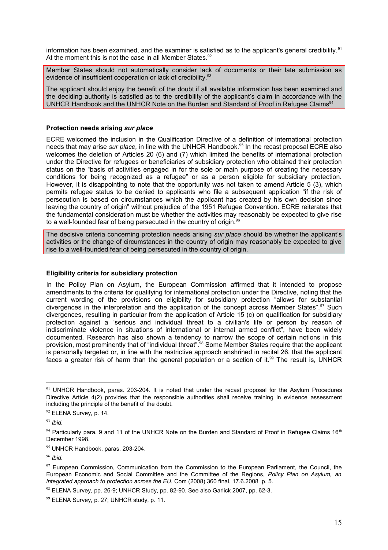information has been examined, and the examiner is satisfied as to the applicant's general credibility[.](#page-14-0)<sup>91</sup> At the moment this is not the case in all Member States.<sup>92</sup>

Member States should not automatically consider la[ck](#page-14-1) of documents or their late submission as evidence of insufficient cooperation or lack of credibility.<sup>93</sup>

The applicant should enjoy the benefit of the doubt if al[l a](#page-14-2)vailable information has been examined and the deciding authority is satisfied as to the credibility of the applicant's claim in accordance with the UNHCR Handbook and the UNHCR Note on the Burden and Standard of Proof in Refugee Claims<sup>94</sup>

#### **Protection needs arising** *sur place*

ECRE welcomed the inclusion in the Qualification Directive of a definition of international protection needs that may arise *sur place,* in line with the UNHCR Handbook.<sup>95</sup> In the recast proposal ECRE also welcomes the deletion of Articles 20 (6) and (7) which limited th[e b](#page-14-3)enefits of international protection under the Directive for refugees or beneficiaries of subsidiary protection who obtained their protection status on the "basis of activities engaged in for the sole or main purpose of creating the necessary conditions for being recognized as a refugee" or as a person eligible for subsidiary protection. However, it is disappointing to note that the opportunity was not taken to amend Article 5 (3), which permits refugee status to be denied to applicants who file a subsequent application "if the risk of persecution is based on circumstances which the applicant has created by his own decision since leaving the country of origin" without prejudice of the 1951 Refugee Convention. ECRE reiterates that the fundamental consideration must be whether the activities may reasonably be expected to give rise to a well-founded fear of being persecuted in the country of origin.<sup>96</sup>

The decisive criteria concerning protection needs arising *sur pla[ce](#page-14-4)* should be whether the applicant's activities or the change of circumstances in the country of origin may reasonably be expected to give rise to a well-founded fear of being persecuted in the country of origin.

#### **Eligibility criteria for subsidiary protection**

In the Policy Plan on Asylum, the European Commission affirmed that it intended to propose amendments to the criteria for qualifying for international protection under the Directive, noting that the current wording of the provisions on eligibility for subsidiary protection "allows for substantial divergences in the interpretation and the application of the concept across Member States".<sup>97</sup> Such divergences, resulting in particular from the application of Article 15 (c) on qualification for su[bs](#page-14-5)idiary protection against a "serious and individual threat to a civilian's life or person by reason of indiscriminate violence in situations of international or internal armed conflict", have been widely documented. Research has also shown a tendency to narrow the scope of certain notions in this provision, most prominently that of "individual threat".<sup>98</sup> Some Member States require that the applicant is personally targeted or, in line with the restrictive a[pp](#page-14-6)roach enshrined in recital 26, that the applicant faces a greater risk of harm than the general population or a section of it[.](#page-14-7)<sup>99</sup> The result is, UNHCR

<span id="page-14-0"></span> $91$  UNHCR Handbook, paras. 203-204. It is noted that under the recast proposal for the Asylum Procedures Directive Article 4(2) provides that the responsible authorities shall receive training in evidence assessment including the principle of the benefit of the doubt.

<span id="page-14-1"></span> $92$  ELENA Survey, p. 14.

<span id="page-14-2"></span><sup>93</sup> *Ibid.*

 $94$  Particularly para. 9 and 11 of the UNHCR Note on the Burden and Standard of Proof in Refugee Claims 16<sup>th</sup> December 1998.

<span id="page-14-3"></span><sup>95</sup> UNHCR Handbook, paras. 203-204.

<span id="page-14-4"></span><sup>96</sup> *Ibid.*

<span id="page-14-5"></span> $97$  European Commission, Communication from the Commission to the European Parliament, the Council, the European Economic and Social Committee and the Committee of the Regions, *Policy Plan on Asylum, an integrated approach to protection across the EU*, Com (2008) 360 final, 17.6.2008 p. 5.

<span id="page-14-6"></span> $98$  ELENA Survey, pp. 26-9; UNHCR Study, pp. 82-90. See also Garlick 2007, pp. 62-3.

<span id="page-14-7"></span><sup>99</sup> ELENA Survey, p. 27; UNHCR study, p. 11.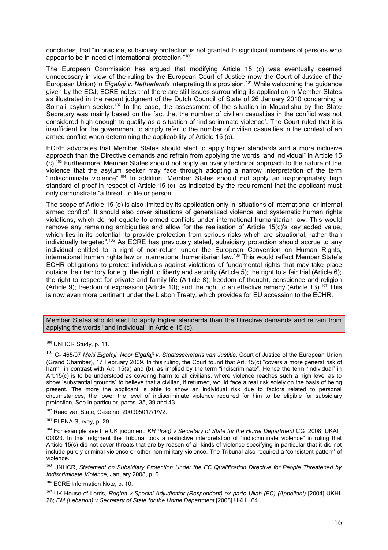concludes, that "in practice, subsidiary protection is not granted to significant numbers of persons who appear to be in need of international protection."[100](#page-15-0)

The European Commission has argued that modifying Article 15 (c) was eventually deemed unnecessary in view of the ruling by the European Court of Justice (now the Court of Justice of the European Union) in *Elgafaji v. Netherlands* interpreting this provision.<sup>[101](#page-15-1)</sup> While welcoming the guidance given by the ECJ, ECRE notes that there are still issues surrounding its application in Member States as illustrated in the recent judgment of the Dutch Council of State of 26 January 2010 concerning a Somali asylum seeker.<sup>[102](#page-15-2)</sup> In the case, the assessment of the situation in Mogadishu by the State Secretary was mainly based on the fact that the number of civilian casualties in the conflict was not considered high enough to qualify as a situation of 'indiscriminate violence'. The Court ruled that it is insufficient for the government to simply refer to the number of civilian casualties in the context of an armed conflict when determining the applicability of Article 15 (c).

ECRE advocates that Member States should elect to apply higher standards and a more inclusive approach than the Directive demands and refrain from applying the words "and individual" in Article 15 (c).[103](#page-15-3) Furthermore, Member States should not apply an overly technical approach to the nature of the violence that the asylum seeker may face through adopting a narrow interpretation of the term "indiscriminate violence".[104](#page-15-4) In addition, Member States should not apply an inappropriately high standard of proof in respect of Article 15 (c), as indicated by the requirement that the applicant must only demonstrate "a threat" to life or person.

The scope of Article 15 (c) is also limited by its application only in 'situations of international or internal armed conflict'. It should also cover situations of generalized violence and systematic human rights violations, which do not equate to armed conflicts under international humanitarian law. This would remove any remaining ambiguities and allow for the realisation of Article 15(c)'s key added value, which lies in its potential "to provide protection from serious risks which are situational, rather than individually targeted".<sup>[105](#page-15-5)</sup> As ECRE has previously stated, subsidiary protection should accrue to any individual entitled to a right of non-return under the European Convention on Human Rights, international human rights law or international humanitarian law.<sup>[106](#page-15-6)</sup> This would reflect Member State's ECHR obligations to protect individuals against violations of fundamental rights that may take place outside their territory for e.g. the right to liberty and security (Article 5); the right to a fair trial (Article 6); the right to respect for private and family life (Article 8); freedom of thought, conscience and religion (Article 9); freedom of expression (Article 10); and the right to an effective remedy (Article 13).<sup>[107](#page-15-7)</sup> This is now even more pertinent under the Lisbon Treaty, which provides for EU accession to the ECHR.

Member States should elect to apply higher standards than the Directive demands and refrain from applying the words "and individual" in Article 15 (c).

<span id="page-15-2"></span><sup>102</sup> Raad van State, Case no. 200905017/1/V2.

<span id="page-15-6"></span>106 ECRE Information Note, p. 10.

<span id="page-15-7"></span><sup>107</sup> UK House of Lords, *Regina v Special Adjudicator (Respondent) ex parte Ullah (FC) (Appellant)* [2004] UKHL 26; *EM (Lebanon) v Secretary of State for the Home Department* [2008] UKHL 64.

<span id="page-15-0"></span><sup>100</sup> UNHCR Study, p. 11.

<span id="page-15-1"></span><sup>101</sup> C- 465/07 *Meki Elgafaji, Noor Elgafaji v. Staatssecretaris van Justitie*, Court of Justice of the European Union (Grand Chamber), 17 February 2009. In this ruling, the Court found that Art. 15(c) "covers a more general risk of harm" in contrast with Art. 15(a) and (b), as implied by the term "indiscriminate". Hence the term "individual" in Art.15(c) is to be understood as covering harm to all civilians, where violence reaches such a high level as to show "substantial grounds" to believe that a civilian, if returned, would face a real risk solely on the basis of being present. The more the applicant is able to show an individual risk due to factors related to personal circumstances, the lower the level of indiscriminate violence required for him to be eligible for subsidiary protection, See in particular, paras. 35, 39 and 43.

<span id="page-15-3"></span> $103$  ELENA Survey, p. 29.

<span id="page-15-4"></span><sup>104</sup> For example see the UK judgment: *KH (Iraq) v Secretary of State for the Home Department* CG [2008] UKAIT 00023. In this judgment the Tribunal took a restrictive interpretation of "indiscriminate violence" in ruling that Article 15(c) did not cover threats that are by reason of all kinds of violence specifying in particular that it did not include purely criminal violence or other non-military violence. The Tribunal also required a 'consistent pattern' of violence.

<span id="page-15-5"></span><sup>105</sup> UNHCR, *Statement on Subsidiary Protection Under the EC Qualification Directive for People Threatened by Indiscriminate Violence,* January 2008, p. 6.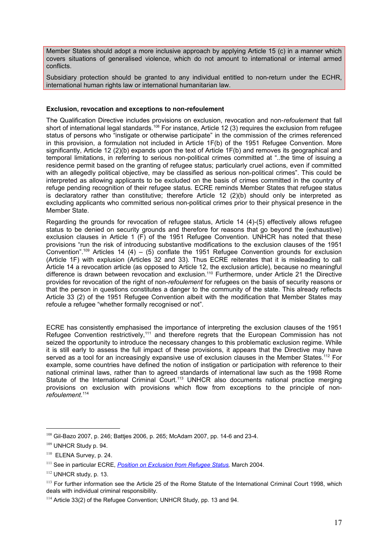Member States should adopt a more inclusive approach by applying Article 15 (c) in a manner which covers situations of generalised violence, which do not amount to international or internal armed conflicts.

Subsidiary protection should be granted to any individual entitled to non-return under the ECHR, international human rights law or international humanitarian law.

#### **Exclusion, revocation and exceptions to non-refoulement**

The Qualification Directive includes provisions on exclusion, revocation and non-*refoulement* that fall short of international legal standards.<sup>[108](#page-16-0)</sup> For instance, Article 12 (3) requires the exclusion from refugee status of persons who "instigate or otherwise participate" in the commission of the crimes referenced in this provision, a formulation not included in Article 1F(b) of the 1951 Refugee Convention. More significantly, Article 12 (2)(b) expands upon the text of Article 1F(b) and removes its geographical and temporal limitations, in referring to serious non-political crimes committed at "..the time of issuing a residence permit based on the granting of refugee status; particularly cruel actions, even if committed with an allegedly political objective, may be classified as serious non-political crimes". This could be interpreted as allowing applicants to be excluded on the basis of crimes committed in the country of refuge pending recognition of their refugee status. ECRE reminds Member States that refugee status is declaratory rather than constitutive; therefore Article 12 (2)(b) should only be interpreted as excluding applicants who committed serious non-political crimes prior to their physical presence in the Member State.

Regarding the grounds for revocation of refugee status, Article 14 (4)-(5) effectively allows refugee status to be denied on security grounds and therefore for reasons that go beyond the (exhaustive) exclusion clauses in Article 1 (F) of the 1951 Refugee Convention. UNHCR has noted that these provisions "run the risk of introducing substantive modifications to the exclusion clauses of the 1951 Convention".<sup>[109](#page-16-1)</sup> Articles 14 (4) – (5) conflate the 1951 Refugee Convention grounds for exclusion (Article 1F) with explusion (Articles 32 and 33). Thus ECRE reiterates that it is misleading to call Article 14 a revocation article (as opposed to Article 12, the exclusion article), because no meaningful difference is drawn between revocation and exclusion.<sup>[110](#page-16-2)</sup> Furthermore, under Article 21 the Directive provides for revocation of the right of non-*refoulement* for refugees on the basis of security reasons or that the person in questions constitutes a danger to the community of the state. This already reflects Article 33 (2) of the 1951 Refugee Convention albeit with the modification that Member States may refoule a refugee "whether formally recognised or not".

ECRE has consistently emphasised the importance of interpreting the exclusion clauses of the 1951 Refugee Convention restrictively,<sup>[111](#page-16-3)</sup> and therefore regrets that the European Commission has not seized the opportunity to introduce the necessary changes to this problematic exclusion regime. While it is still early to assess the full impact of these provisions, it appears that the Directive may have served as a tool for an increasingly expansive use of exclusion clauses in the Member States.<sup>[112](#page-16-4)</sup> For example, some countries have defined the notion of instigation or participation with reference to their national criminal laws, rather than to agreed standards of international law such as the 1998 Rome Statute of the International Criminal Court.<sup>[113](#page-16-5)</sup> UNHCR also documents national practice merging provisions on exclusion with provisions which flow from exceptions to the principle of non*refoulement*. [114](#page-16-6)

<span id="page-16-0"></span><sup>108</sup> Gil-Bazo 2007, p. 246; Battjes 2006, p. 265; McAdam 2007, pp. 14-6 and 23-4.

<span id="page-16-1"></span><sup>109</sup> UNHCR Study p. 94.

<span id="page-16-2"></span><sup>&</sup>lt;sup>110</sup> ELENA Survey, p. 24.

<span id="page-16-3"></span><sup>111</sup> See in particular ECRE, *[Position on Exclusion from Refugee Status,](http://www.ecre.org/files/exclusion.pdf)* March 2004.

<span id="page-16-4"></span><sup>112</sup> UNHCR study, p. 13.

<span id="page-16-5"></span><sup>&</sup>lt;sup>113</sup> For further information see the Article 25 of the Rome Statute of the International Criminal Court 1998, which deals with individual criminal responsibility.

<span id="page-16-6"></span><sup>&</sup>lt;sup>114</sup> Article 33(2) of the Refugee Convention: UNHCR Study, pp. 13 and 94.